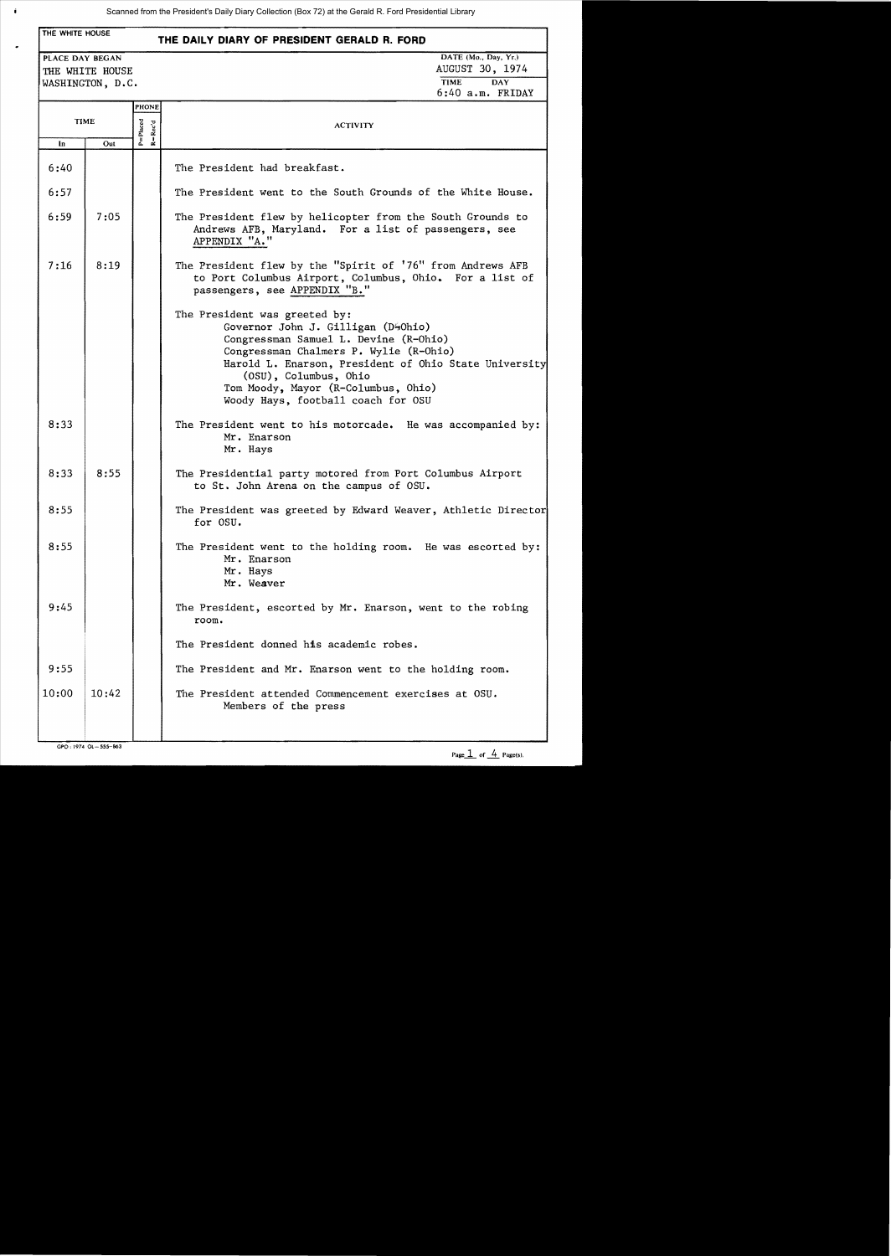| THE WHITE HOUSE<br>THE DAILY DIARY OF PRESIDENT GERALD R. FORD |                                     |                         |                                                                                                                                                                                                                                                                                                                       |  |  |  |
|----------------------------------------------------------------|-------------------------------------|-------------------------|-----------------------------------------------------------------------------------------------------------------------------------------------------------------------------------------------------------------------------------------------------------------------------------------------------------------------|--|--|--|
| PLACE DAY BEGAN                                                | THE WHITE HOUSE<br>WASHINGTON, D.C. |                         | DATE (Mo., Day, Yr.)<br>AUGUST 30, 1974<br><b>TIME</b><br><b>DAY</b><br>$6:40$ a.m. FRIDAY                                                                                                                                                                                                                            |  |  |  |
|                                                                |                                     | PHONE                   |                                                                                                                                                                                                                                                                                                                       |  |  |  |
|                                                                | <b>TIME</b>                         |                         | <b>ACTIVITY</b>                                                                                                                                                                                                                                                                                                       |  |  |  |
| In                                                             | Out                                 | P=Placed<br>$R = Rec'd$ |                                                                                                                                                                                                                                                                                                                       |  |  |  |
| 6:40                                                           |                                     |                         | The President had breakfast.                                                                                                                                                                                                                                                                                          |  |  |  |
| 6:57                                                           |                                     |                         | The President went to the South Grounds of the White House.                                                                                                                                                                                                                                                           |  |  |  |
| 6:59                                                           | 7:05                                |                         | The President flew by helicopter from the South Grounds to<br>Andrews AFB, Maryland. For a list of passengers, see<br>APPENDIX "A."                                                                                                                                                                                   |  |  |  |
| 7:16                                                           | 8:19                                |                         | The President flew by the "Spirit of '76" from Andrews AFB<br>to Port Columbus Airport, Columbus, Ohio. For a list of<br>passengers, see APPENDIX "B."                                                                                                                                                                |  |  |  |
|                                                                |                                     |                         | The President was greeted by:<br>Governor John J. Gilligan (D40hio)<br>Congressman Samuel L. Devine (R-Ohio)<br>Congressman Chalmers P. Wylie (R-Ohio)<br>Harold L. Enarson, President of Ohio State University<br>(OSU), Columbus, Ohio<br>Tom Moody, Mayor (R-Columbus, Ohio)<br>Woody Hays, football coach for OSU |  |  |  |
| 8:33                                                           |                                     |                         | The President went to his motorcade. He was accompanied by:<br>Mr. Enarson<br>Mr. Hays                                                                                                                                                                                                                                |  |  |  |
| 8:33                                                           | 8:55                                |                         | The Presidential party motored from Port Columbus Airport<br>to St. John Arena on the campus of OSU.                                                                                                                                                                                                                  |  |  |  |
| 8:55                                                           |                                     |                         | The President was greeted by Edward Weaver, Athletic Director<br>for OSU.                                                                                                                                                                                                                                             |  |  |  |
| 8:55                                                           |                                     |                         | The President went to the holding room. He was escorted by:<br>Mr. Enarson<br>Mr. Hays<br>Mr. Weaver                                                                                                                                                                                                                  |  |  |  |
| 9:45                                                           |                                     |                         | The President, escorted by Mr. Enarson, went to the robing<br>room.                                                                                                                                                                                                                                                   |  |  |  |
|                                                                |                                     |                         | The President donned his academic robes.                                                                                                                                                                                                                                                                              |  |  |  |
| 9:55                                                           |                                     |                         | The President and Mr. Enarson went to the holding room.                                                                                                                                                                                                                                                               |  |  |  |
| 10:00                                                          | 10:42                               |                         | The President attended Commencement exercises at OSU.<br>Members of the press                                                                                                                                                                                                                                         |  |  |  |

GPO: 1974 OL-555-863

 $\hat{\mathbf{I}}$ 

 $\overline{a}$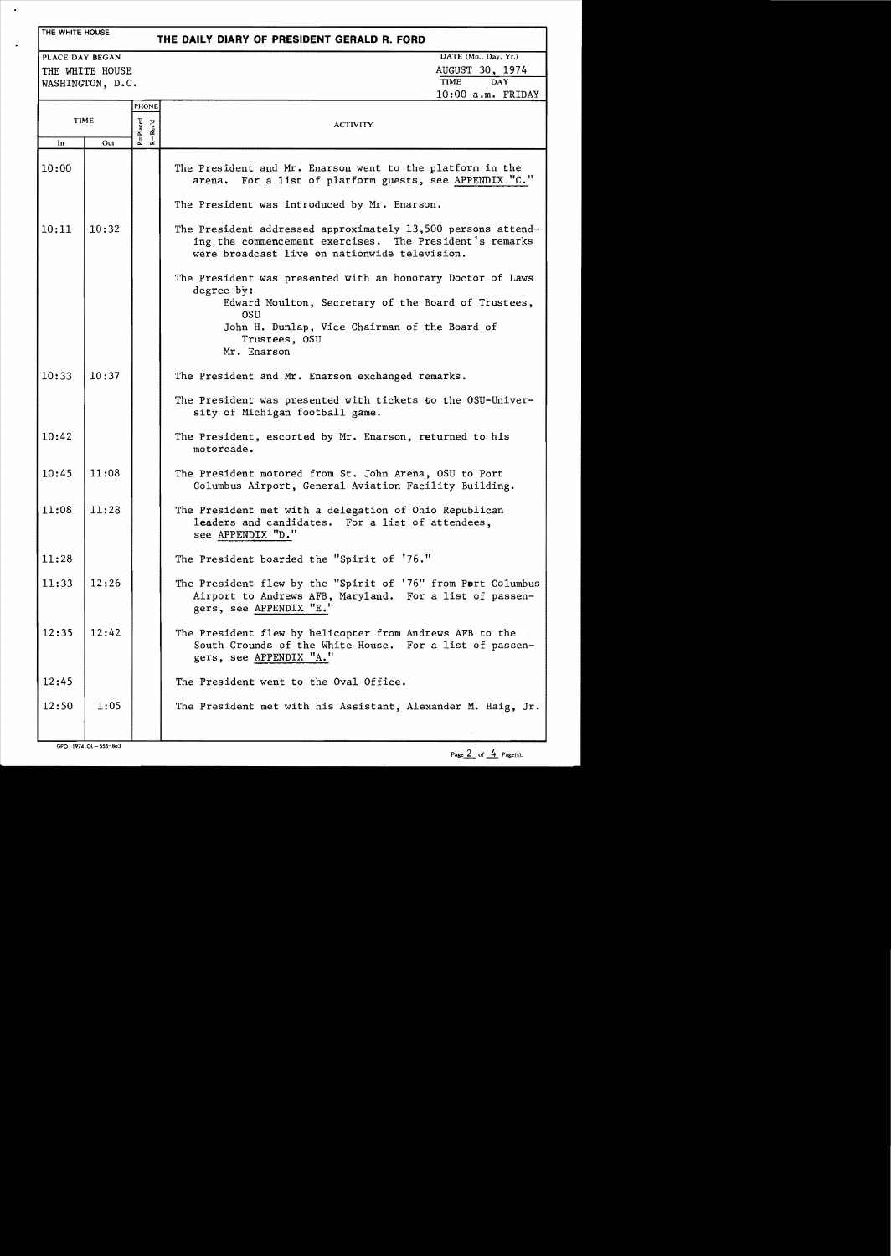## THE WHITE HOUSE

 $\overline{\phantom{a}}$ 

l,

# **THE DAILY DIARY OF PRESIDENT GERALD R. FORD**

WASHINGTON, D.C.

PLACE DAY BEGAN DATE (Mo., Day, Yr.) THE WHITE HOUSE AUGUST 30, 1974 10:00 a.m. FRIDAY

|             |       | PHONE             |                                                                                                                                                                          |
|-------------|-------|-------------------|--------------------------------------------------------------------------------------------------------------------------------------------------------------------------|
| <b>TIME</b> |       | P=Placed<br>Rec'd | <b>ACTIVITY</b>                                                                                                                                                          |
| In          | Out   | $\overline{a}$    |                                                                                                                                                                          |
| 10:00       |       |                   | The President and Mr. Enarson went to the platform in the<br>arena. For a list of platform guests, see APPENDIX "C."                                                     |
|             |       |                   | The President was introduced by Mr. Enarson.                                                                                                                             |
| 10:11       | 10:32 |                   | The President addressed approximately 13,500 persons attend-<br>ing the commencement exercises. The President's remarks<br>were broadcast live on nationwide television. |
|             |       |                   | The President was presented with an honorary Doctor of Laws<br>degree by:<br>Edward Moulton, Secretary of the Board of Trustees,                                         |
|             |       |                   | OSU                                                                                                                                                                      |
|             |       |                   | John H. Dunlap, Vice Chairman of the Board of<br>Trustees, OSU<br>Mr. Enarson                                                                                            |
| 10:33       | 10:37 |                   | The President and Mr. Enarson exchanged remarks.                                                                                                                         |
|             |       |                   | The President was presented with tickets to the OSU-Univer-<br>sity of Michigan football game.                                                                           |
| 10:42       |       |                   | The President, escorted by Mr. Enarson, returned to his<br>motorcade.                                                                                                    |
| 10:45       | 11:08 |                   | The President motored from St. John Arena, OSU to Port<br>Columbus Airport, General Aviation Facility Building.                                                          |
| 11:08       | 11:28 |                   | The President met with a delegation of Ohio Republican<br>leaders and candidates. For a list of attendees,<br>see APPENDIX "D."                                          |
| 11:28       |       |                   | The President boarded the "Spirit of '76."                                                                                                                               |
| 11:33       | 12:26 |                   | The President flew by the "Spirit of '76" from Port Columbus<br>Airport to Andrews AFB, Maryland. For a list of passen-<br>gers, see APPENDIX "E."                       |
| 12:35       | 12:42 |                   | The President flew by helicopter from Andrews AFB to the<br>South Grounds of the White House. For a list of passen-<br>gers, see APPENDIX "A."                           |
| 12:45       |       |                   | The President went to the Oval Office.                                                                                                                                   |
| 12:50       | 1:05  |                   | The President met with his Assistant, Alexander M. Haig, Jr.                                                                                                             |
|             |       |                   |                                                                                                                                                                          |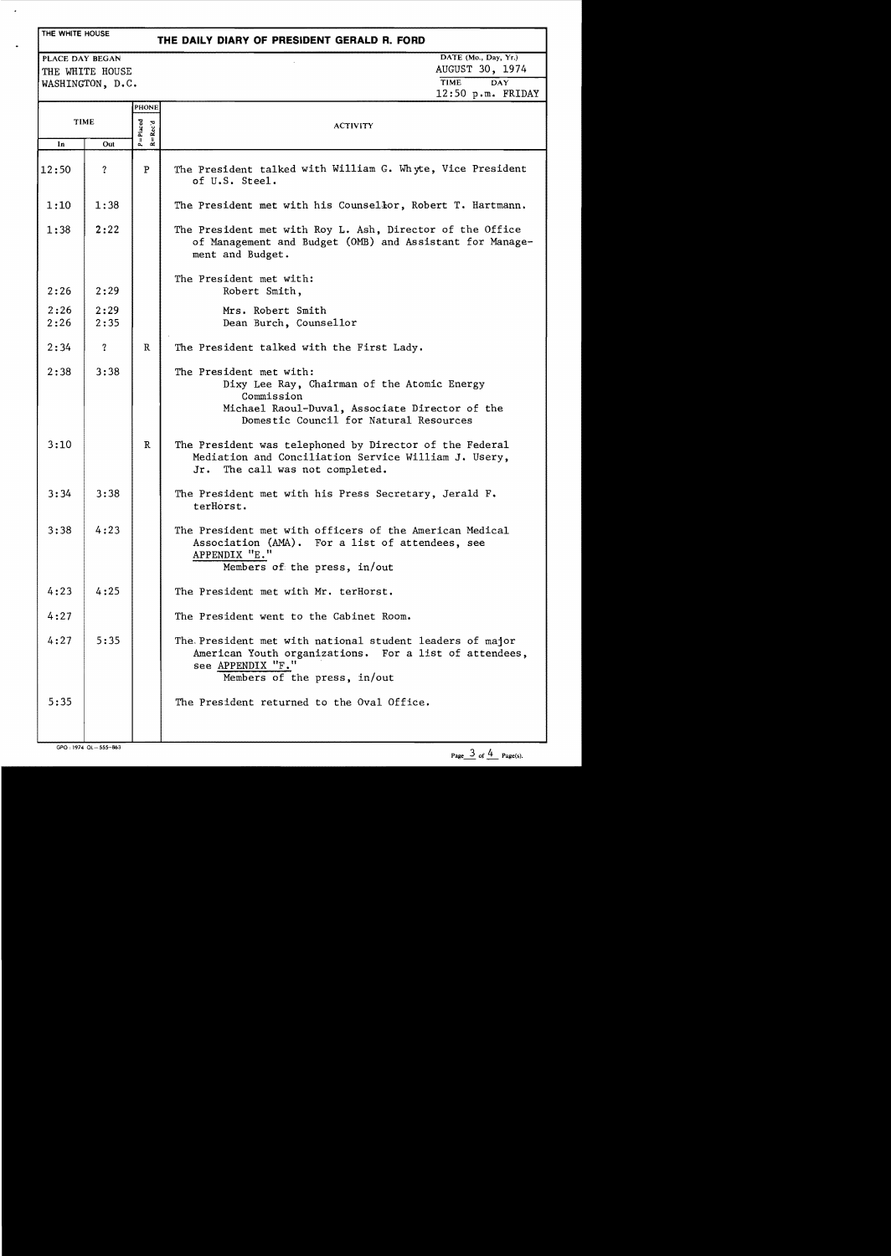### THE WHITE HOUSE

 $\epsilon$ 

## **THE DAILY DIARY OF PRESIDENT GERALD R. FORD**

THE WHITE HOUSE AUGUST 30, 1974 WASHINGTON, D.C.

PLACE DAY BEGAN DATE (Mo., Day, Yr.) 12:50 p.m. FRIDAY

| TIME         |                     | PHONE<br>$P = Placed$<br>$R = Rec'd$ | <b>ACTIVITY</b>                                                                                                                                                                  |
|--------------|---------------------|--------------------------------------|----------------------------------------------------------------------------------------------------------------------------------------------------------------------------------|
| In           | Out                 |                                      |                                                                                                                                                                                  |
| 12:50        | ?                   | P                                    | The President talked with William G. Whyte, Vice President<br>of U.S. Steel.                                                                                                     |
| 1:10         | 1:38                |                                      | The President met with his Counsellor, Robert T. Hartmann.                                                                                                                       |
| 1:38         | 2:22                |                                      | The President met with Roy L. Ash, Director of the Office<br>of Management and Budget (OMB) and Assistant for Manage-<br>ment and Budget.                                        |
| 2:26         | 2:29                |                                      | The President met with:<br>Robert Smith,                                                                                                                                         |
| 2:26<br>2:26 | 2:29<br>2:35        |                                      | Mrs. Robert Smith<br>Dean Burch, Counsellor                                                                                                                                      |
| 2:34         | $\ddot{\mathbf{?}}$ | $\mathbb{R}$                         | The President talked with the First Lady.                                                                                                                                        |
| 2:38         | 3:38                |                                      | The President met with:<br>Dixy Lee Ray, Chairman of the Atomic Energy<br>Commission<br>Michael Raoul-Duval, Associate Director of the<br>Domestic Council for Natural Resources |
| 3:10         |                     | R                                    | The President was telephoned by Director of the Federal<br>Mediation and Conciliation Service William J. Usery,<br>The call was not completed.<br>Jr.                            |
| 3:34         | 3:38                |                                      | The President met with his Press Secretary, Jerald F.<br>terHorst.                                                                                                               |
| 3:38         | 4:23                |                                      | The President met with officers of the American Medical<br>Association (AMA). For a list of attendees, see<br>APPENDIX "E."<br>Members of the press, in/out                      |
| 4:23         | 4:25                |                                      | The President met with Mr. terHorst.                                                                                                                                             |
| 4:27         |                     |                                      | The President went to the Cabinet Room.                                                                                                                                          |
| 4:27         | 5:35                |                                      | The President met with national student leaders of major<br>American Youth organizations. For a list of attendees,<br>see APPENDIX "F."<br>Members of the press, in/out          |
| 5:35         |                     |                                      | The President returned to the Oval Office.                                                                                                                                       |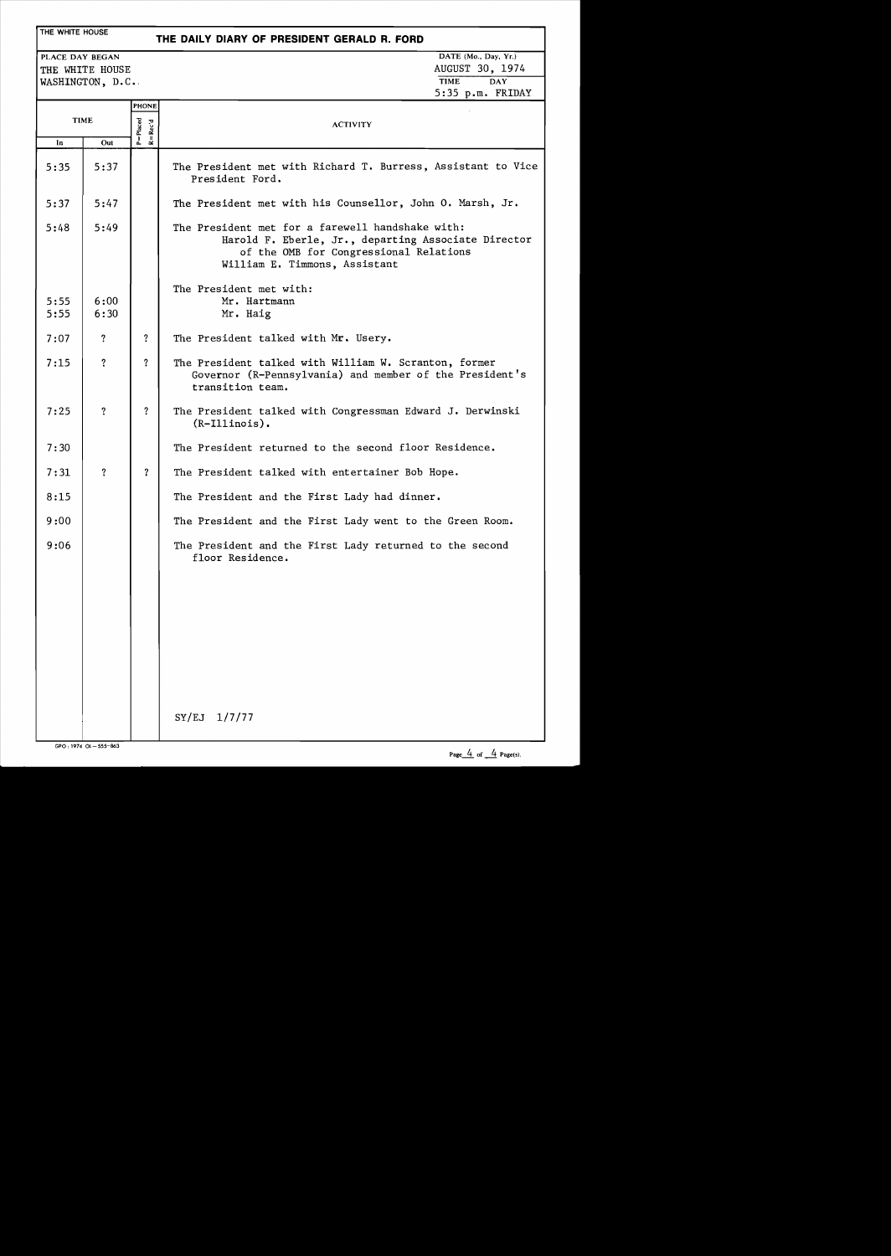## THE WHITE HOUSE

## **THE DAILY DIARY OF PRESIDENT GERALD R. FORD**

THE WHITE HOUSE AUGUST 30, 19 WASHINGTON, D.C.

PLACE DAY BEGAN DATE (Mo., Day, Yr.)<br>
THE WHITE HOUSE AUGUST 30, 1974 5:35 p.m. FRIDAY

|              |                         | <b>PHONE</b>                |                                                                                                                                                                                    |
|--------------|-------------------------|-----------------------------|------------------------------------------------------------------------------------------------------------------------------------------------------------------------------------|
| <b>TIME</b>  |                         | $P = Placed$<br>$R = Rec'd$ | <b>ACTIVITY</b>                                                                                                                                                                    |
| In           | Out                     |                             |                                                                                                                                                                                    |
| 5:35         | 5:37                    |                             | The President met with Richard T. Burress, Assistant to Vice<br>President Ford.                                                                                                    |
| 5:37         | 5:47                    |                             | The President met with his Counsellor, John O. Marsh, Jr.                                                                                                                          |
| 5:48         | 5:49                    |                             | The President met for a farewell handshake with:<br>Harold F. Eberle, Jr., departing Associate Director<br>of the OMB for Congressional Relations<br>William E. Timmons, Assistant |
| 5:55<br>5:55 | 6:00<br>6:30            |                             | The President met with:<br>Mr. Hartmann<br>Mr. Haig                                                                                                                                |
| 7:07         | ?                       | ?                           | The President talked with Mr. Usery.                                                                                                                                               |
| 7:15         | $\overline{\mathbf{r}}$ | ?                           | The President talked with William W. Scranton, former<br>Governor (R-Pennsylvania) and member of the President's<br>transition team.                                               |
| 7:25         | $\overline{?}$          | $\overline{?}$              | The President talked with Congressman Edward J. Derwinski<br>$(R-IIIinois)$ .                                                                                                      |
| 7:30         |                         |                             | The President returned to the second floor Residence.                                                                                                                              |
| 7:31         | $\overline{\cdot}$      | $\overline{\mathbf{?}}$     | The President talked with entertainer Bob Hope.                                                                                                                                    |
| 8:15         |                         |                             | The President and the First Lady had dinner.                                                                                                                                       |
| 9:00         |                         |                             | The President and the First Lady went to the Green Room.                                                                                                                           |
| 9:06         |                         |                             | The President and the First Lady returned to the second<br>floor Residence.                                                                                                        |
|              |                         |                             |                                                                                                                                                                                    |
|              |                         |                             |                                                                                                                                                                                    |
|              |                         |                             |                                                                                                                                                                                    |
|              |                         |                             |                                                                                                                                                                                    |
|              |                         |                             | SY/EJ<br>1/7/77                                                                                                                                                                    |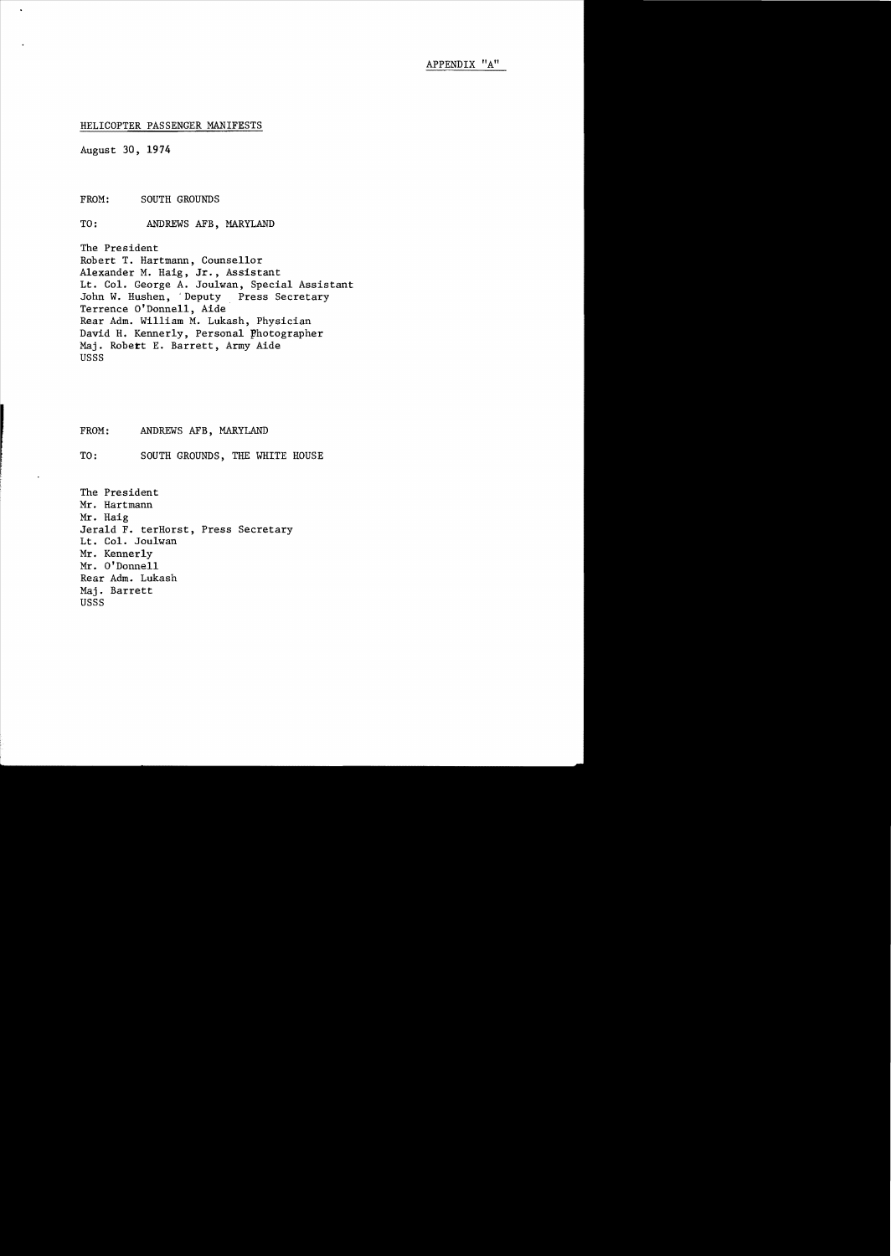### HELICOPTER PASSENGER MANIFESTS

August 30, 1974

FROM: SOUTH GROUNDS

TO: ANDREWS AFB, MARYLAND

The President Robert T. Hartmann, Counsellor Alexander M. Haig, Jr., Assistant Lt. Col. George A. Jou1wan, Special Assistant John W. Hushen, 'Deputy Press Secretary Terrence O'Donnell, Aide Rear Adm. William M. Lukash, Physician David H. Kennerly, Personal photographer Maj. Robert E. Barrett, Army Aide USSS

FROM: ANDREWS AFB, MARYLAND

TO: SOUTH GROUNDS, THE WHITE HOUSE

The President Mr. Hartmann Mr. Haig Jerald F. terHorst, Press Secretary Lt. Col. Jou1wan Mr. Kennerly Mr. O'Donnell Rear Adm. Lukash Maj. Barrett USSS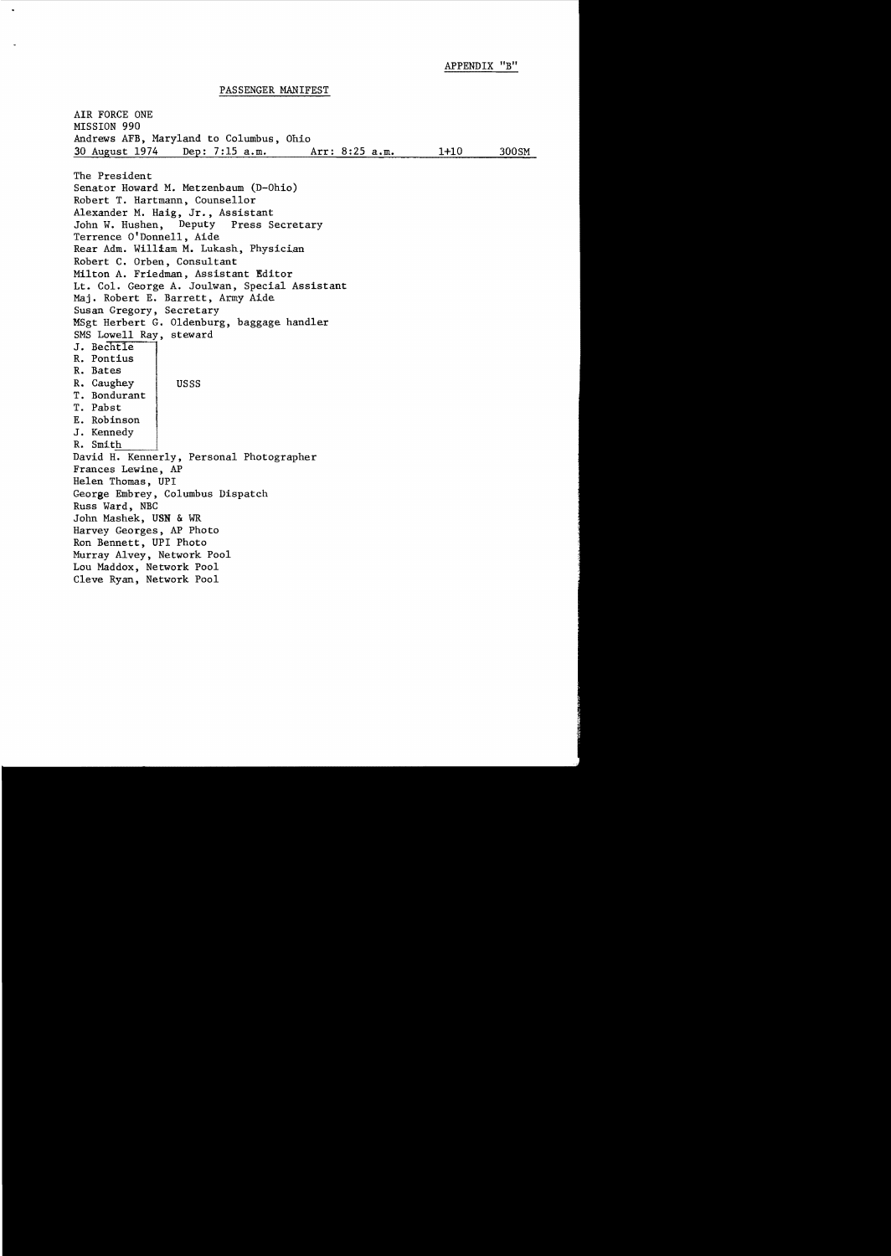APPENDIX "B"

PASSENGER MANIFEST

AIR FORCE ONE MISSION 990 Andrews AFB, Maryland to Columbus, Ohio 30 August 1974 Dep: 7:15 a.m. Arr: 8:25 a.m. 1+10 300SM The President Senator Howard M. Metzenbaum (D-Ohio) Robert T. Hartmann, Counsellor Alexander M. Haig, Jr., Assistant<br>John W. Hushen, Deputy Press Secretary John W. Hushen, Terrence O'Donnell, Aide Rear Adm. William M. Lukash, Physician Robert C. Orben, Consultant Milton A. Friedman, Assistant Editor Lt. Col. George A. Joulwan, Special Assistant Maj. Robert E. Barrett, Army Aide Susan Gregory, Secretary MSgt Herbert G. Oldenburg, baggage handler SMS Lowell Ray, steward J. Bechtle R. Pontius R. Bates R. Caughey USSS T. Bondurant T. Pabst E. Robinson J. Kennedy R. Smith David H. Kennerly, Personal Photographer Frances Lewine, AP Helen Thomas, UPI George Embrey, Columbus Dispatch Russ Ward, NBC John Mashek, USN & WR Harvey Georges, AP Photo Ron Bennett, UPI Photo Murray Alvey, Network Pool Lou Maddox, Network Pool Cleve Ryan, Network Pool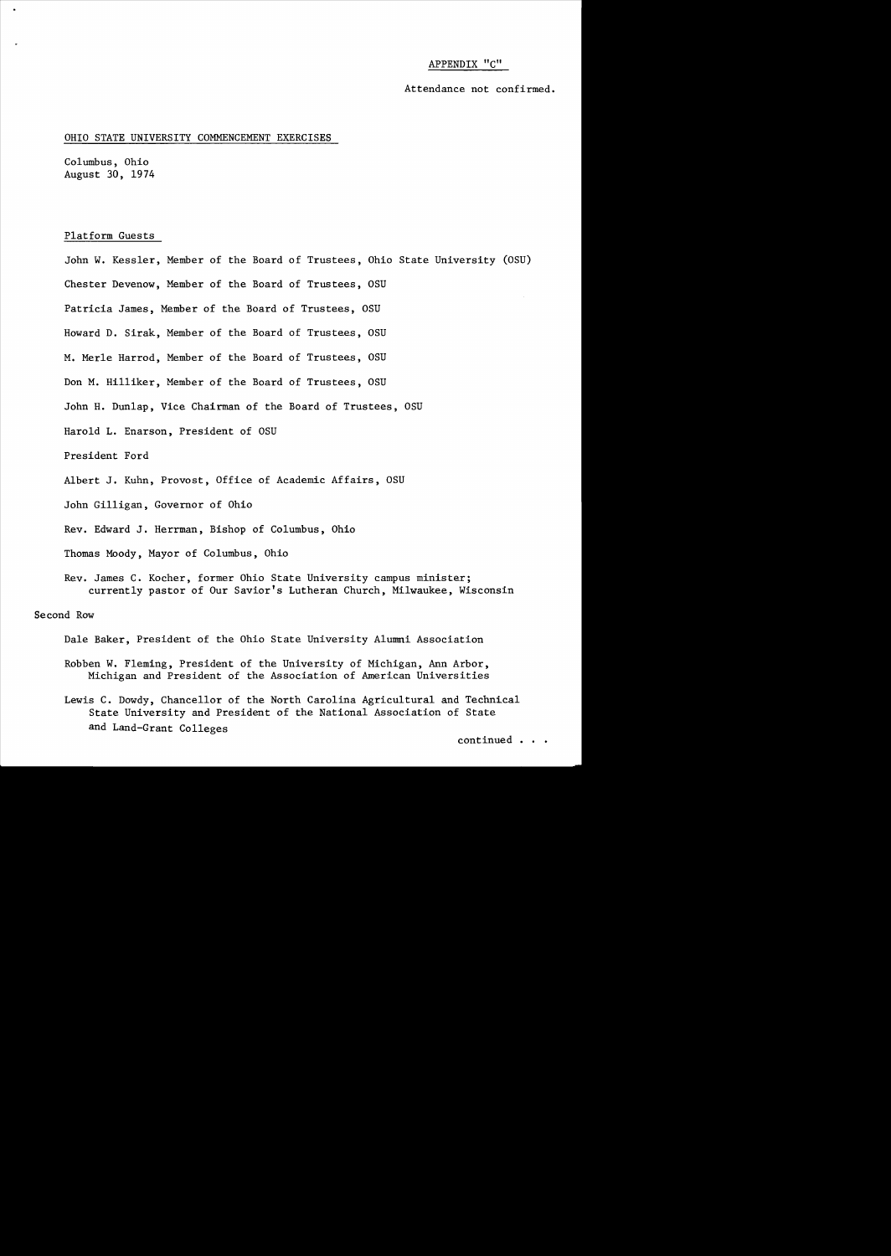### APPENDIX "c"

Attendance not confirmed.

#### OHIO STATE UNIVERSITY COMMENCEMENT EXERCISES

Columbus, Ohio August 30, 1974

### Platform Guests

John W. Kessler, Member of the Board of Trustees, Ohio State University (OSU) Chester Devenow, Member of the Board of Trustees, OSU Patricia James, Member of the Board of Trustees, OSU Howard D. Sirak, Member of the Board of Trustees, OSU M. Merle Harrod, Member of the Board of Trustees, OSU Don M. Hilliker, Member of the Board of Trustees, OSU John H. Dunlap, Vice Chairman of the Board of Trustees, OSU Harold L. Enarson, President of OSU President Ford Albert J. Kuhn, Provost, Office of Academic Affairs, OSU John Gilligan, Governor of Ohio Rev. Edward J. Herrman, Bishop of Columbus, Ohio Thomas Moody, Mayor of Columbus, Ohio Rev. James C. Kocher, former Ohio State University campus minister; currently pastor of Our Savior's Lutheran Church, Milwaukee, Wisconsin Second Row

Dale Baker, President of the Ohio State University Alumni Association

- Robben W. Fleming, President of the University of Michigan, Ann Arbor, Michigan and President of the Association of American Universities
- Lewis C. Dowdy, Chancellor of the North Carolina Agricultural and Technical State University and President of the National Association of State and Land-Grant Colleges

continued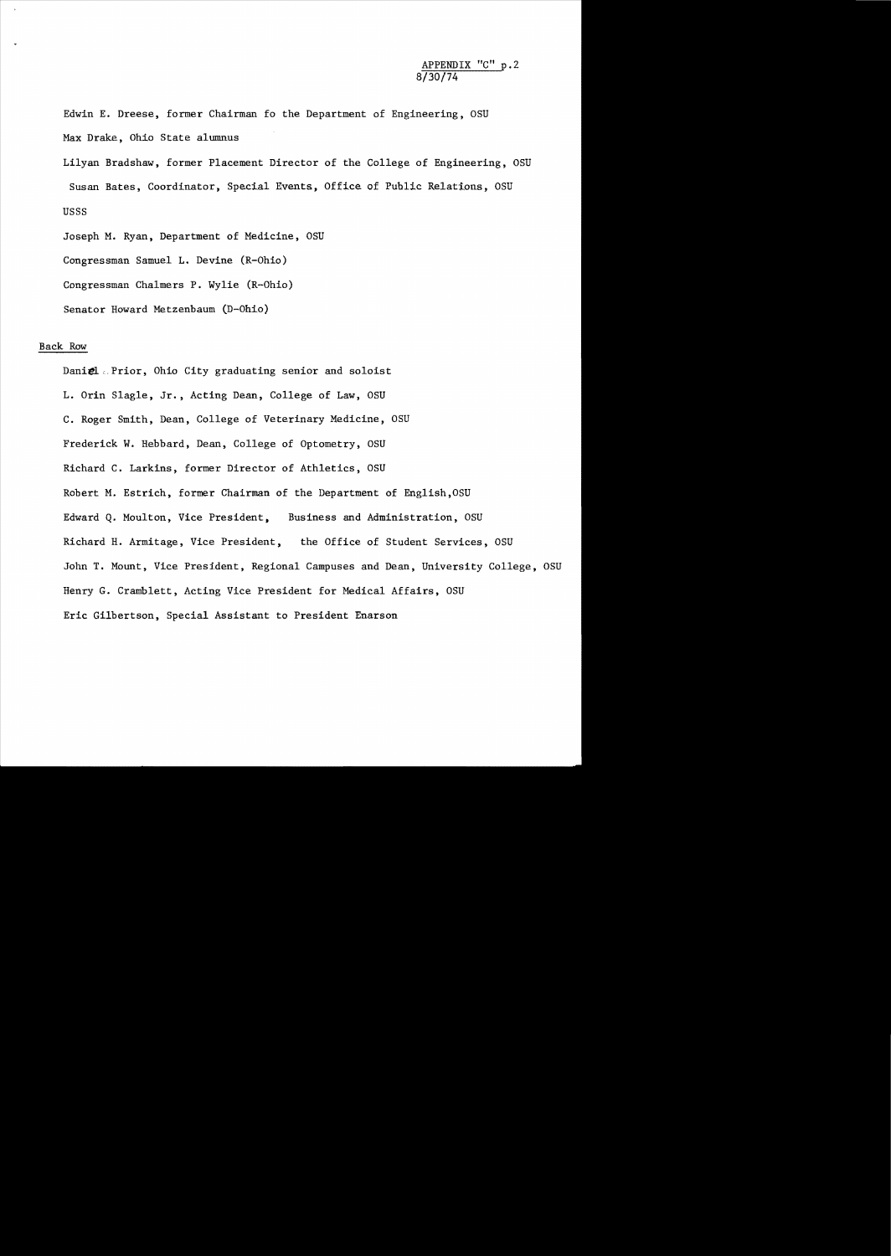Edwin E. Dreese, former Chairman fo the Department of Engineering, OSU Max Drake, Ohio State alumnus

Lilyan Bradshaw, former Placement Director of the College of Engineering, OSU Susan Bates, Coordinator, Special Events, Office of Public Relations, OSU USSS

Joseph M. Ryan, Department of Medicine, OSU Congressman Samuel L. Devine (R-Ohio) Congressman Chalmers P. Wylie (R-Ohio) Senator Howard Metzenbaum CD-Ohio)

### Back Row

Daniel .. Prior, Ohio City graduating senior and soloist L. Orin Slagle, Jr., Acting Dean, College of Law, OSU C. Roger Smith, Dean, College of Veterinary Medicine, OSU Frederick W. Hebbard, Dean, College of Optometry, OSU Richard C. Larkins, former Director of Athletics, OSU Robert M. Estrich, former Chairman of the Department of Eng1ish,OSU Edward Q. Moulton, Vice President, Business and Administration, OSU Richard H. Armitage, Vice President, the Office of Student Services, OSU John T. Mount, Vice President, Regional Campuses and Dean, University College, OSU Henry G. Cramb1ett, Acting Vice President for Medical Affairs, OSU Eric Gilbertson, Special Assistant to President Enarson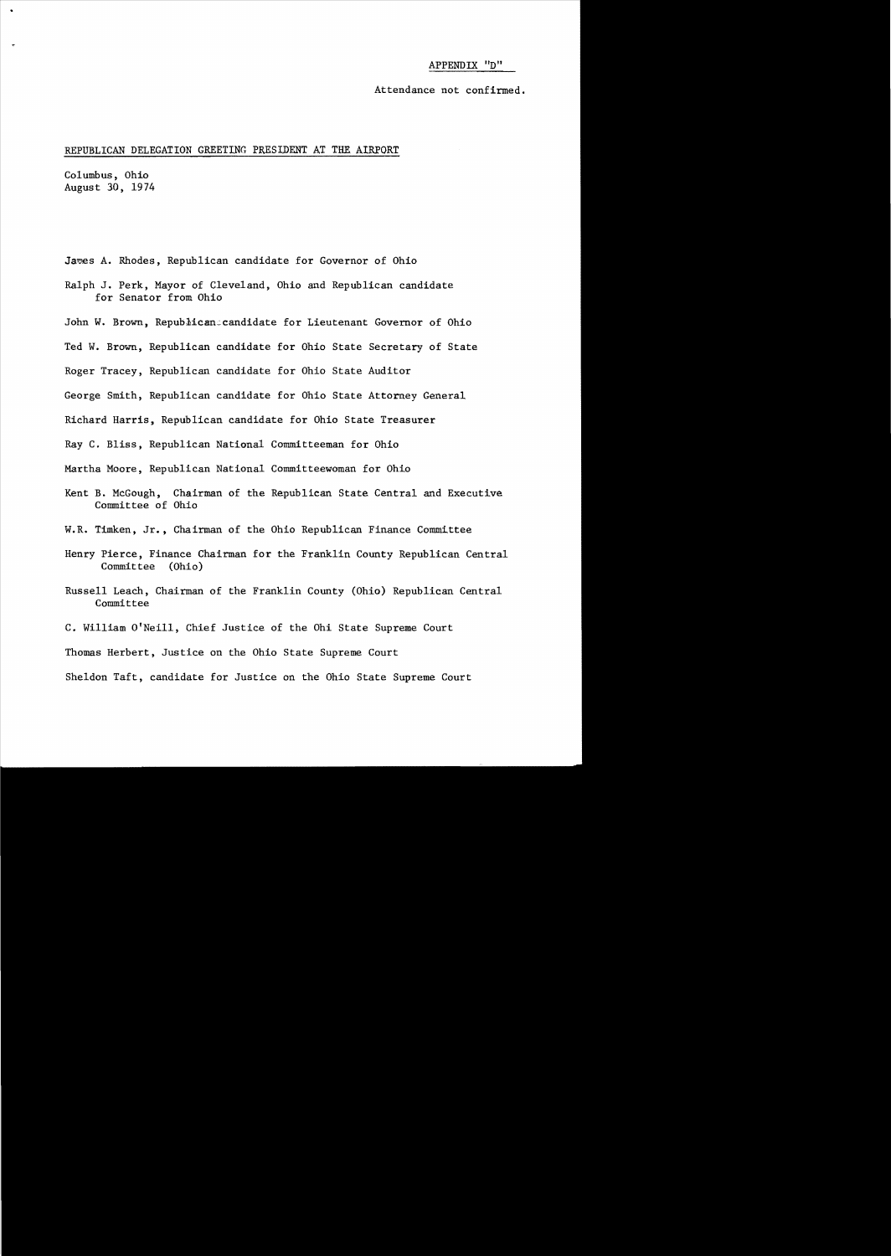#### APPENDIX "D"

Attendance not confirmed.

### REPUBLICAN DELEGATION GREETING PRESIDENT AT THE AIRPORT

Columbus, Ohio August 30, 1974

- James A. Rhodes, Republican candidate for Governor of Ohio
- Ralph J. Perk, Mayor of Cleveland, Ohio and Republican candidate for Senator from Ohio
- John W. Brown, Republicancandidate for Lieutenant Governor of Ohio
- Ted W. Brown, Republican candidate for Ohio State Secretary of State
- Roger Tracey, Republican candidate for Ohio State Auditor
- George Smith, Republican candidate for Ohio State Attorney General

Richard Harris, Republican candidate for Ohio State Treasurer

Ray C. Bliss, Republican National Committeeman for Ohio

Martha Moore, Republican National Committeewoman for Ohio

Kent B. McGough, Chairman of the Republican State Central and Executive Committee of Ohio

W.R. Timken, Jr., Chairman of the Ohio Republican Finance Committee

- Henry Pierce, Finance Chairman for the Franklin County Republican Central Committee (Ohio)
- Russell Leach, Chairman of the Franklin County (Ohio) Republican Central Committee
- C. William O'Neill, Chief Justice of the Ohi State Supreme Court

Thomas Herbert, Justice on the Ohio State Supreme Court

Sheldon Taft, candidate for Justice on the Ohio State Supreme Court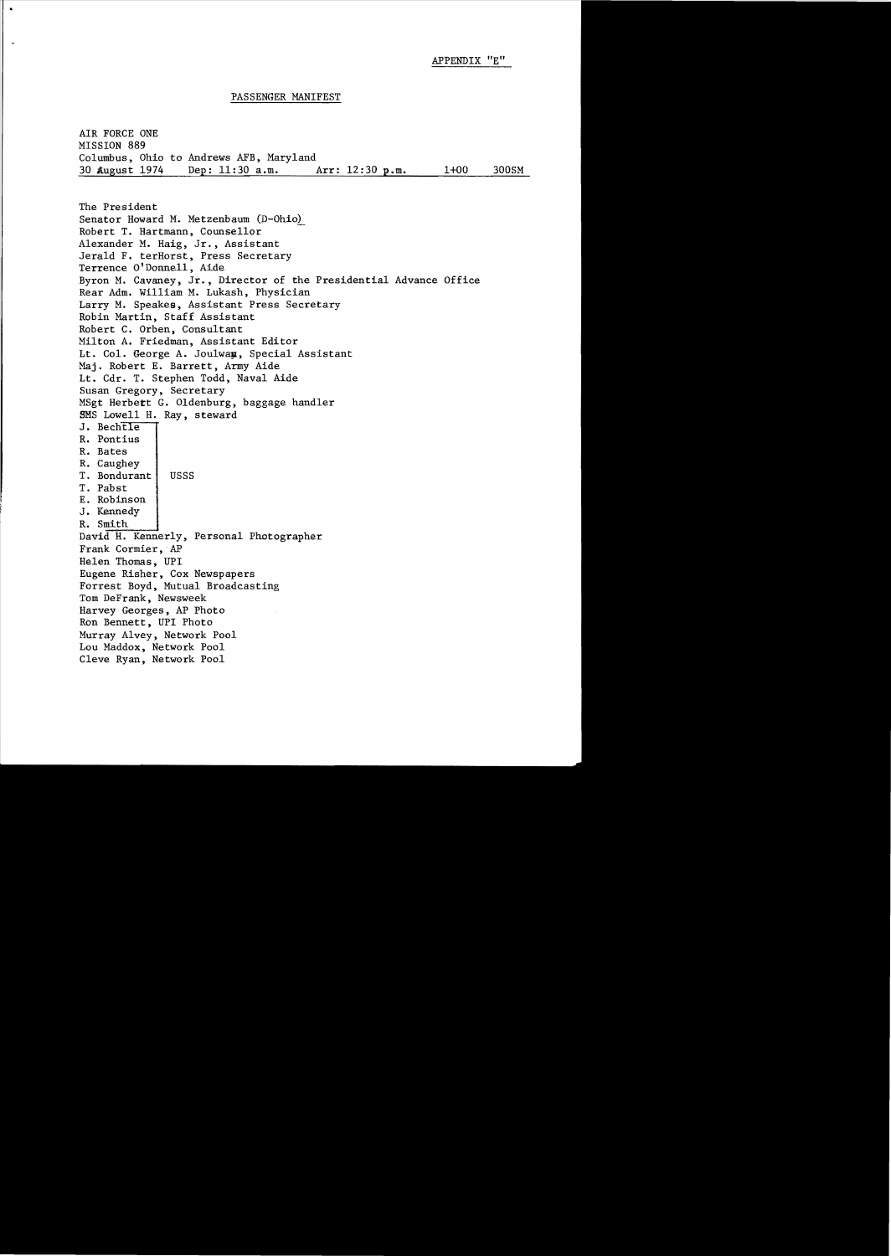#### PASSENGER MANIFEST

AIR FORCE ONE MISSION 889 Columbus, Ohio to Andrews AFB, Maryland<br>30 August 1974 Dep: 11:30 a.m. Arr: 12:30 p.m. Dep: 11:30 a.m. Arr: 12:30 p.m. 1+00 300SM

The President Senator Howard M. Metzenbaum (D-Ohio) Robert T. Hartmann, Counsellor Alexander M. Haig, Jr., Assistant Jerald F. terHorst, Press Secretary Terrence O'Donnell, Aide Byron M. Cavaney, Jr., Director of the Presidential Advance Office Rear Adm. William M. Lukash, Physician Larry M. Speakes, Assistant Press Secretary Robin Martin, Staff Assistant Robert C. Orben, Consultant Milton A. Friedman, Assistant Editor Lt. Col. George A. Joulway, Special Assistant Maj. Robert E. Barrett, Army Aide Lt. Cdr. T. Stephen Todd, Naval Aide Susan Gregory, Secretary MSgt Herbett G. Oldenburg, baggage handler SMS Lowell H. Ray, steward J. Bechtle R. Pontius R. Bates R. Caughey T. Bondurant | USSS T. Pabst E. Robinson J. Kennedy R. Smith [100]<br>David H. Kennerly, Personal Photographer Frank Cormier, AP Helen Thomas, UPI Eugene Risher, Cox Newspapers Forrest Boyd, Mutual Broadcasting Tom DeFrank, Newsweek Harvey Georges, AP Photo Ron Bennett, UPI Photo Murray Alvey, Network Pool Lou Maddox, Network Pool Cleve Ryan, Network Pool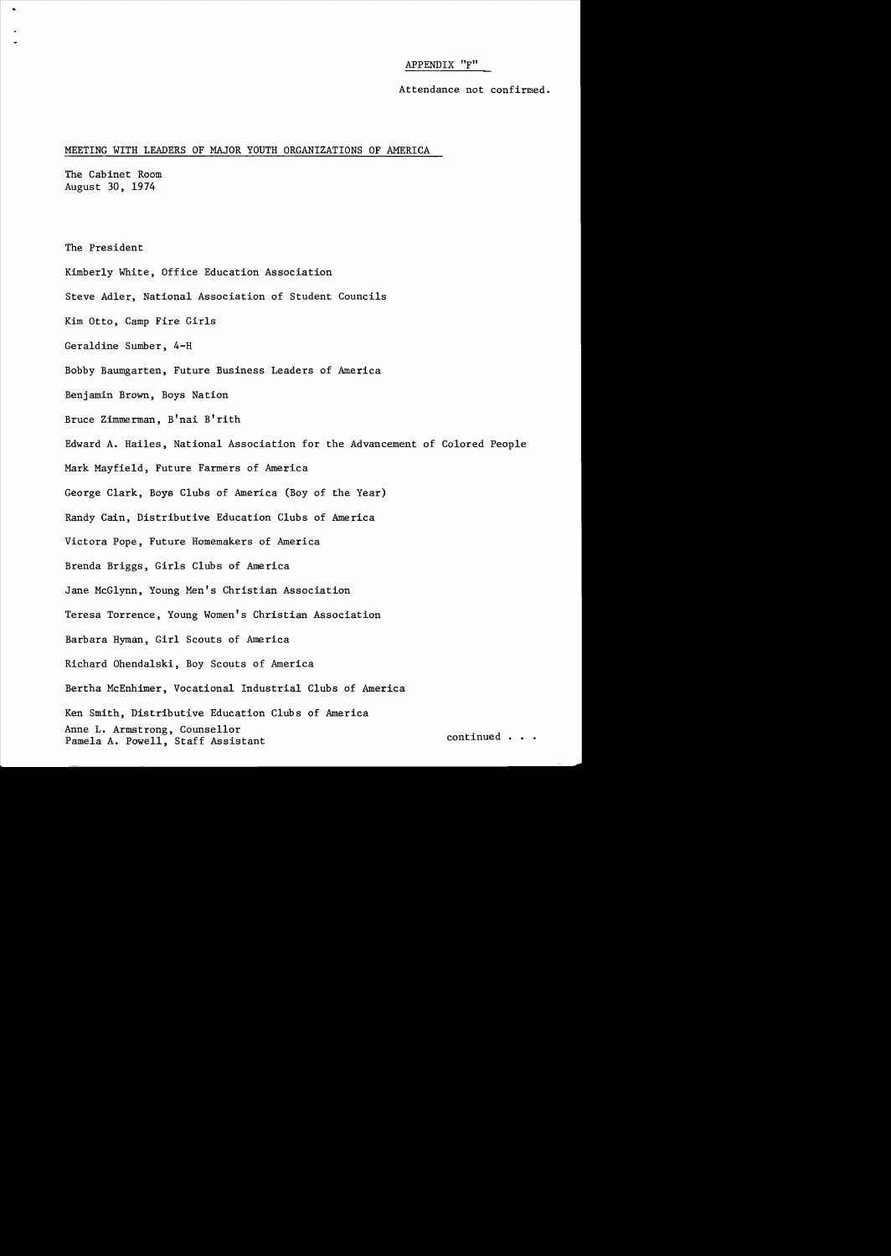### APPENDIX "F"

Attendance not confirmed.

### MEETING WITH LEADERS OF MAJOR YOUTH ORGANIZATIONS OF AMERICA

The Cabinet Room August 30, 1974

The President

- Kimberly White, Office Education Association
- Steve Adler, National Association of Student Councils

Kim Otto, Camp Fire Girls

Geraldine Sumber, 4-H

Bobby Baumgarten, Future Business Leaders of America

Benjamin Brown, Boys Nation

Bruce Zimmerman, B'nai B'rith

Edward A. Hailes, National Association for the Advancement of Colored People

Mark Mayfield, Future Farmers of America

George Clark, Boys Clubs of America (Boy of the Year)

Randy Cain, Distributive Education Clubs of America

Victora Pope, Future Homemakers of America

Brenda Briggs, Girls Clubs of America

Jane McGlynn, Young Men's Christian Association

Teresa Torrence, Young Women's Christian Association

Barbara Hyman, Girl Scouts of America

Richard Ohenda1ski, Boy Scouts of America

Bertha McEnhimer, Vocational Industrial Clubs of America

Ken Smith, Distributive Education Clubs of America Anne L. Armstrong, Counsellor<br>Pamela A. Powell, Staff Assistant continued . . .